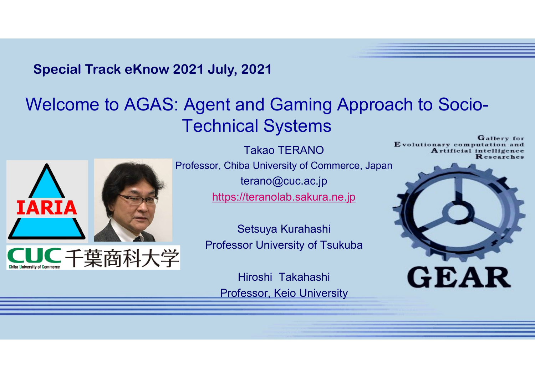# Welcome to AGAS: Agent and Gaming Approach to Socio-Technical Systems Special Track eKnow 2021 July, 2021<br>Velcome to AGAS: Agent and Gaming Approach to S



Professor, Chiba University of Commerce, Japan terano@cuc.ac.jp https://teranolab.sakura.ne.jp

> Setsuya Kurahashi Professor University of Tsukuba

Hiroshi Takahashi Professor, Keio University

Gallery for Takao TERANO<br>
Evolutionary computation and<br>
Researches

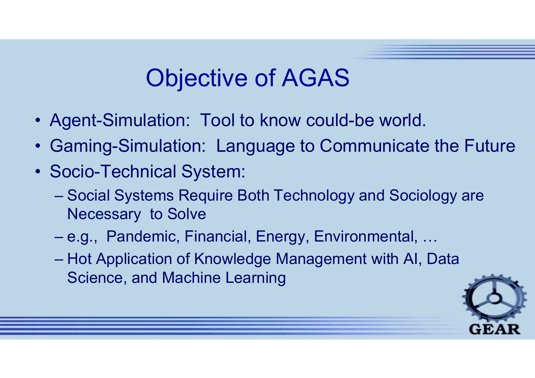## Objective of AGAS

- 
- Objective of AGAS<br>• Agent-Simulation: Tool to know could-be world.<br>• Gaming-Simulation: Language to Communicate the Fu • Gaming-Simulation: Tool to know could-be world.<br>• Gaming-Simulation: Language to Communicate the Future<br>• Socio-Technical System:
- 
- **CODENCIVE OF A<br>
 Agent-Simulation: Tool to know<br>
 Gaming-Simulation: Language<br>
 Socio-Technical System:<br>
 Social Systems Require Both Tec** Objective of AGAS<br>Agent-Simulation: Tool to know could-be world.<br>Chaming-Simulation: Language to Communicate the Future<br>Socio-Technical System:<br>- Social Systems Require Both Technology and Sociology are<br>- e.g. Pandemic Fin Necessary to Solve UDJECIIVE OT AGAS<br>Agent-Simulation: Tool to know could-be world.<br>Communicate the Future<br>Socio-Technical System:<br>- Social Systems Require Both Technology and Sociology are<br>Necessary to Solve<br>- e.g., Pandemic, Financial, Ene Nent-Simulation: Tool to know could-be world.<br>
Saming-Simulation: Language to Communicate the Future<br>
Socio-Technical System:<br>
- Social Systems Require Both Technology and Sociology are<br>
Necessary to Solve<br>
- e.g., Pandemi
	-
	- Science, and Machine Learning

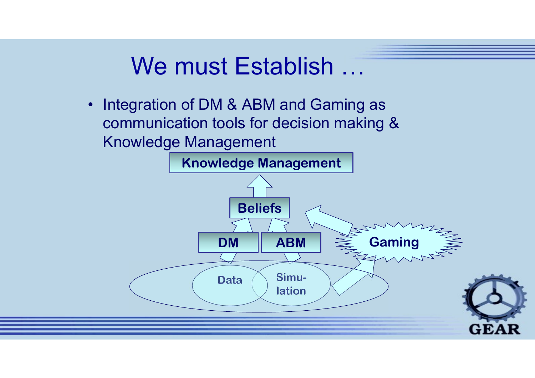### We must Establish ...

Integration of DM & ABM and Gaming as  $\bullet$ communication tools for decision making & **Knowledge Management** 

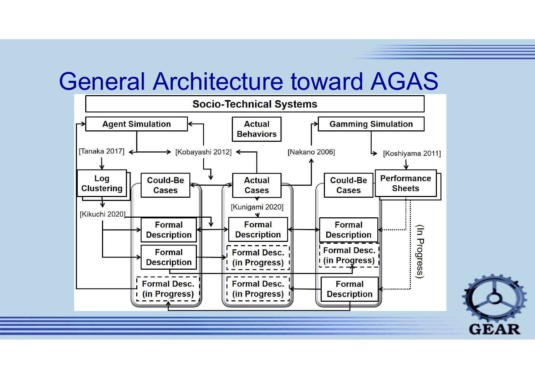#### General Architecture toward AGAS